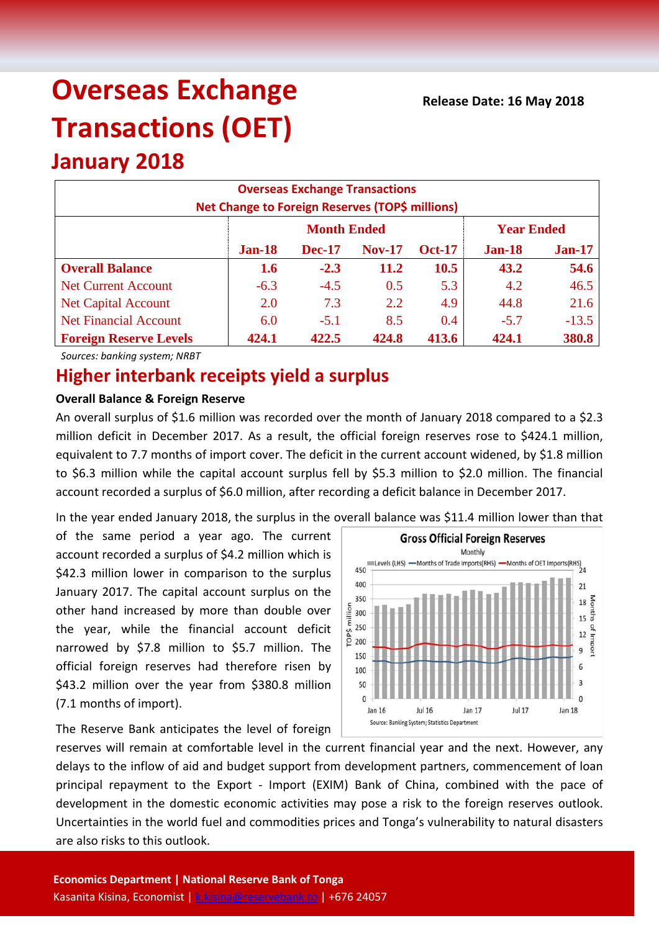# **Overseas Exchange Transactions (OET)**

## **January 2018**

| <b>Overseas Exchange Transactions</b><br><b>Net Change to Foreign Reserves (TOP\$ millions)</b> |        |                    |                   |               |        |          |  |  |
|-------------------------------------------------------------------------------------------------|--------|--------------------|-------------------|---------------|--------|----------|--|--|
|                                                                                                 |        | <b>Month Ended</b> | <b>Year Ended</b> |               |        |          |  |  |
|                                                                                                 | Jan-18 | <b>Dec-17</b>      | <b>Nov-17</b>     | <b>Oct-17</b> | Jan-18 | $Jan-17$ |  |  |
| <b>Overall Balance</b>                                                                          | 1.6    | $-2.3$             | 11.2              | 10.5          | 43.2   | 54.6     |  |  |
| <b>Net Current Account</b>                                                                      | $-6.3$ | $-4.5$             | 0.5               | 5.3           | 4.2    | 46.5     |  |  |
| <b>Net Capital Account</b>                                                                      | 2.0    | 7.3                | 2.2               | 4.9           | 44.8   | 21.6     |  |  |
| <b>Net Financial Account</b>                                                                    | 6.0    | $-5.1$             | 8.5               | 0.4           | $-5.7$ | $-13.5$  |  |  |
| <b>Foreign Reserve Levels</b>                                                                   | 424.1  | 422.5              | 424.8             | 413.6         | 424.1  | 380.8    |  |  |

*Sources: banking system; NRBT*

### **Higher interbank receipts yield a surplus**

#### **Overall Balance & Foreign Reserve**

An overall surplus of \$1.6 million was recorded over the month of January 2018 compared to a \$2.3 million deficit in December 2017. As a result, the official foreign reserves rose to \$424.1 million, equivalent to 7.7 months of import cover. The deficit in the current account widened, by \$1.8 million to \$6.3 million while the capital account surplus fell by \$5.3 million to \$2.0 million. The financial account recorded a surplus of \$6.0 million, after recording a deficit balance in December 2017.

In the year ended January 2018, the surplus in the overall balance was \$11.4 million lower than that

of the same period a year ago. The current account recorded a surplus of \$4.2 million which is \$42.3 million lower in comparison to the surplus January 2017. The capital account surplus on the other hand increased by more than double over the year, while the financial account deficit narrowed by \$7.8 million to \$5.7 million. The official foreign reserves had therefore risen by \$43.2 million over the year from \$380.8 million (7.1 months of import).

The Reserve Bank anticipates the level of foreign



reserves will remain at comfortable level in the current financial year and the next. However, any delays to the inflow of aid and budget support from development partners, commencement of loan principal repayment to the Export - Import (EXIM) Bank of China, combined with the pace of development in the domestic economic activities may pose a risk to the foreign reserves outlook. Uncertainties in the world fuel and commodities prices and Tonga's vulnerability to natural disasters are also risks to this outlook.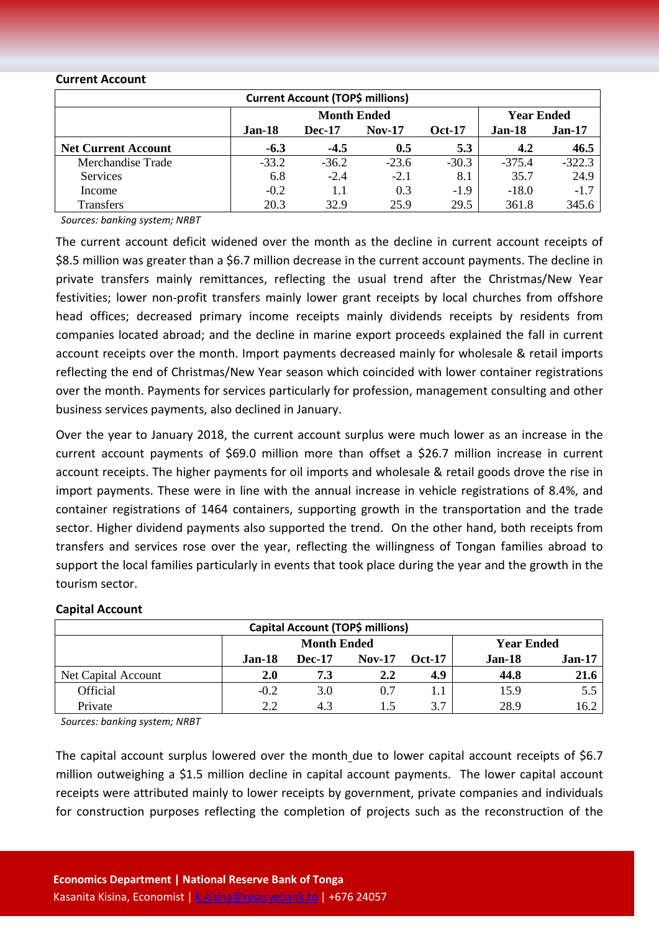#### **Current Account**

| <b>Current Account (TOP\$ millions)</b> |                                                      |                    |                   |         |          |          |  |  |
|-----------------------------------------|------------------------------------------------------|--------------------|-------------------|---------|----------|----------|--|--|
|                                         |                                                      | <b>Month Ended</b> | <b>Year Ended</b> |         |          |          |  |  |
|                                         | Jan-18<br><b>Dec-17</b><br>$Nov-17$<br><b>Oct-17</b> |                    |                   |         |          |          |  |  |
| <b>Net Current Account</b>              | $-6.3$                                               | $-4.5$             | 0.5               | 5.3     | 4.2      | 46.5     |  |  |
| Merchandise Trade                       | $-33.2$                                              | $-36.2$            | $-23.6$           | $-30.3$ | $-375.4$ | $-322.3$ |  |  |
| Services                                | 6.8                                                  | $-2.4$             | $-2.1$            | 8.1     | 35.7     | 24.9     |  |  |
| Income                                  | $-0.2$                                               | 1.1                | 0.3               | $-1.9$  | $-18.0$  | $-1.7$   |  |  |
| Transfers                               | 20.3                                                 | 32.9               | 25.9              | 29.5    | 361.8    | 345.6    |  |  |

*Sources: banking system; NRBT*

The current account deficit widened over the month as the decline in current account receipts of \$8.5 million was greater than a \$6.7 million decrease in the current account payments. The decline in private transfers mainly remittances, reflecting the usual trend after the Christmas/New Year festivities; lower non-profit transfers mainly lower grant receipts by local churches from offshore head offices; decreased primary income receipts mainly dividends receipts by residents from companies located abroad; and the decline in marine export proceeds explained the fall in current account receipts over the month. Import payments decreased mainly for wholesale & retail imports reflecting the end of Christmas/New Year season which coincided with lower container registrations over the month. Payments for services particularly for profession, management consulting and other business services payments, also declined in January.

Over the year to January 2018, the current account surplus were much lower as an increase in the current account payments of \$69.0 million more than offset a \$26.7 million increase in current account receipts. The higher payments for oil imports and wholesale & retail goods drove the rise in import payments. These were in line with the annual increase in vehicle registrations of 8.4%, and container registrations of 1464 containers, supporting growth in the transportation and the trade sector. Higher dividend payments also supported the trend. On the other hand, both receipts from transfers and services rose over the year, reflecting the willingness of Tongan families abroad to support the local families particularly in events that took place during the year and the growth in the tourism sector.

#### **Capital Account**

| <b>Capital Account (TOP\$ millions)</b> |        |                    |               |          |                    |                   |  |  |
|-----------------------------------------|--------|--------------------|---------------|----------|--------------------|-------------------|--|--|
|                                         |        | <b>Month Ended</b> |               |          |                    | <b>Year Ended</b> |  |  |
|                                         | Jan-18 | <b>Dec-17</b>      | <b>Nov-17</b> | $Oct-17$ | $Jan-17$<br>Jan-18 |                   |  |  |
| Net Capital Account                     | 2.0    | 7.3                | 2.2           | 4.9      | 44.8               | 21.6              |  |  |
| Official                                | $-0.2$ | 3.0                | 0.7           | 1.1      | 15.9               | 5.5               |  |  |
| Private                                 | 2.2    | 4.3                |               | 3.7      | 28.9               | 16.2              |  |  |

*Sources: banking system; NRBT*

The capital account surplus lowered over the month due to lower capital account receipts of \$6.7 million outweighing a \$1.5 million decline in capital account payments. The lower capital account receipts were attributed mainly to lower receipts by government, private companies and individuals for construction purposes reflecting the completion of projects such as the reconstruction of the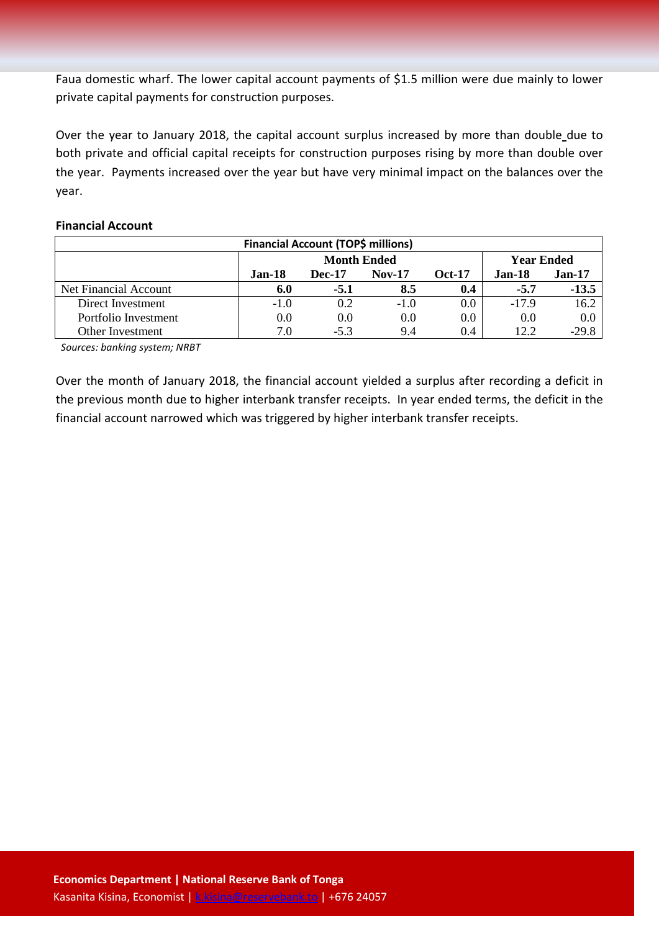Faua domestic wharf. The lower capital account payments of \$1.5 million were due mainly to lower private capital payments for construction purposes.

Over the year to January 2018, the capital account surplus increased by more than double due to both private and official capital receipts for construction purposes rising by more than double over the year. Payments increased over the year but have very minimal impact on the balances over the year.

#### **Financial Account**

| <b>Financial Account (TOP\$ millions)</b> |          |                    |                   |     |         |         |  |  |
|-------------------------------------------|----------|--------------------|-------------------|-----|---------|---------|--|--|
|                                           |          | <b>Month Ended</b> | <b>Year Ended</b> |     |         |         |  |  |
|                                           | $Jan-18$ | <b>Jan-18</b>      | <b>Jan-17</b>     |     |         |         |  |  |
| Net Financial Account                     | 6.0      | $-5.1$             | 8.5               | 0.4 | $-5.7$  | $-13.5$ |  |  |
| Direct Investment                         | $-1.0$   | 0.2                | $-1.0$            | 0.0 | $-17.9$ | 16.2    |  |  |
| Portfolio Investment                      | 0.0      | 0.0                | 0.0               | 0.0 | 0.0     | 0.0     |  |  |
| Other Investment                          | 7.0      | $-5.3$             | 9.4               | 0.4 | 12.2    | $-29.8$ |  |  |

*Sources: banking system; NRBT*

Over the month of January 2018, the financial account yielded a surplus after recording a deficit in the previous month due to higher interbank transfer receipts. In year ended terms, the deficit in the financial account narrowed which was triggered by higher interbank transfer receipts.